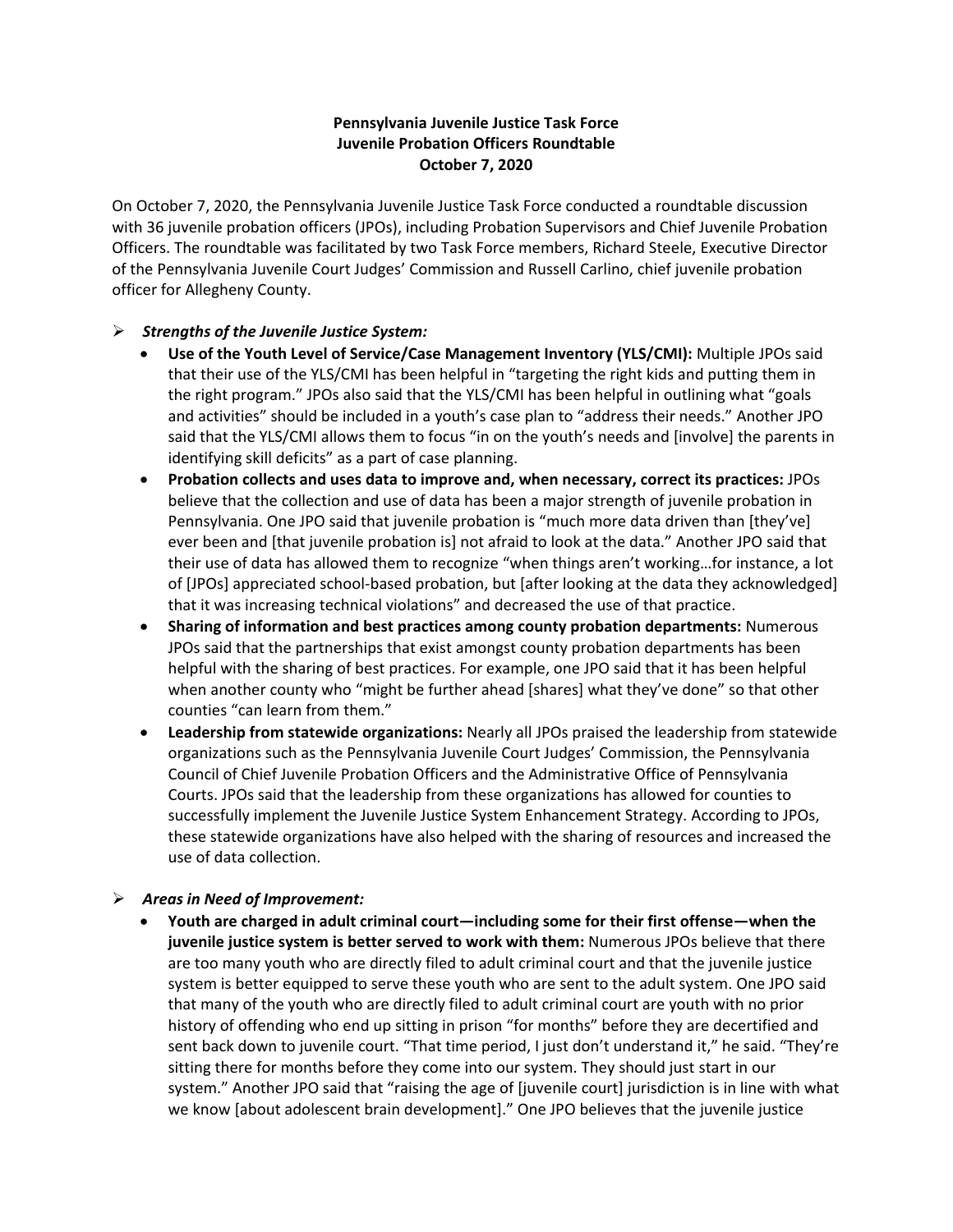## **Pennsylvania Juvenile Justice Task Force Juvenile Probation Officers Roundtable October 7, 2020**

On October 7, 2020, the Pennsylvania Juvenile Justice Task Force conducted a roundtable discussion with 36 juvenile probation officers (JPOs), including Probation Supervisors and Chief Juvenile Probation Officers. The roundtable was facilitated by two Task Force members, Richard Steele, Executive Director of the Pennsylvania Juvenile Court Judges' Commission and Russell Carlino, chief juvenile probation officer for Allegheny County.

## *Strengths of the Juvenile Justice System:*

- **Use of the Youth Level of Service/Case Management Inventory (YLS/CMI):** Multiple JPOs said that their use of the YLS/CMI has been helpful in "targeting the right kids and putting them in the right program." JPOs also said that the YLS/CMI has been helpful in outlining what "goals and activities" should be included in a youth's case plan to "address their needs." Another JPO said that the YLS/CMI allows them to focus "in on the youth's needs and [involve] the parents in identifying skill deficits" as a part of case planning.
- **Probation collects and uses data to improve and, when necessary, correct its practices:** JPOs believe that the collection and use of data has been a major strength of juvenile probation in Pennsylvania. One JPO said that juvenile probation is "much more data driven than [they've] ever been and [that juvenile probation is] not afraid to look at the data." Another JPO said that their use of data has allowed them to recognize "when things aren't working…for instance, a lot of [JPOs] appreciated school-based probation, but [after looking at the data they acknowledged] that it was increasing technical violations" and decreased the use of that practice.
- **Sharing of information and best practices among county probation departments:** Numerous JPOs said that the partnerships that exist amongst county probation departments has been helpful with the sharing of best practices. For example, one JPO said that it has been helpful when another county who "might be further ahead [shares] what they've done" so that other counties "can learn from them."
- **Leadership from statewide organizations:** Nearly all JPOs praised the leadership from statewide organizations such as the Pennsylvania Juvenile Court Judges' Commission, the Pennsylvania Council of Chief Juvenile Probation Officers and the Administrative Office of Pennsylvania Courts. JPOs said that the leadership from these organizations has allowed for counties to successfully implement the Juvenile Justice System Enhancement Strategy. According to JPOs, these statewide organizations have also helped with the sharing of resources and increased the use of data collection.

## *Areas in Need of Improvement:*

 **Youth are charged in adult criminal court—including some for their first offense—when the juvenile justice system is better served to work with them:** Numerous JPOs believe that there are too many youth who are directly filed to adult criminal court and that the juvenile justice system is better equipped to serve these youth who are sent to the adult system. One JPO said that many of the youth who are directly filed to adult criminal court are youth with no prior history of offending who end up sitting in prison "for months" before they are decertified and sent back down to juvenile court. "That time period, I just don't understand it," he said. "They're sitting there for months before they come into our system. They should just start in our system." Another JPO said that "raising the age of [juvenile court] jurisdiction is in line with what we know [about adolescent brain development]." One JPO believes that the juvenile justice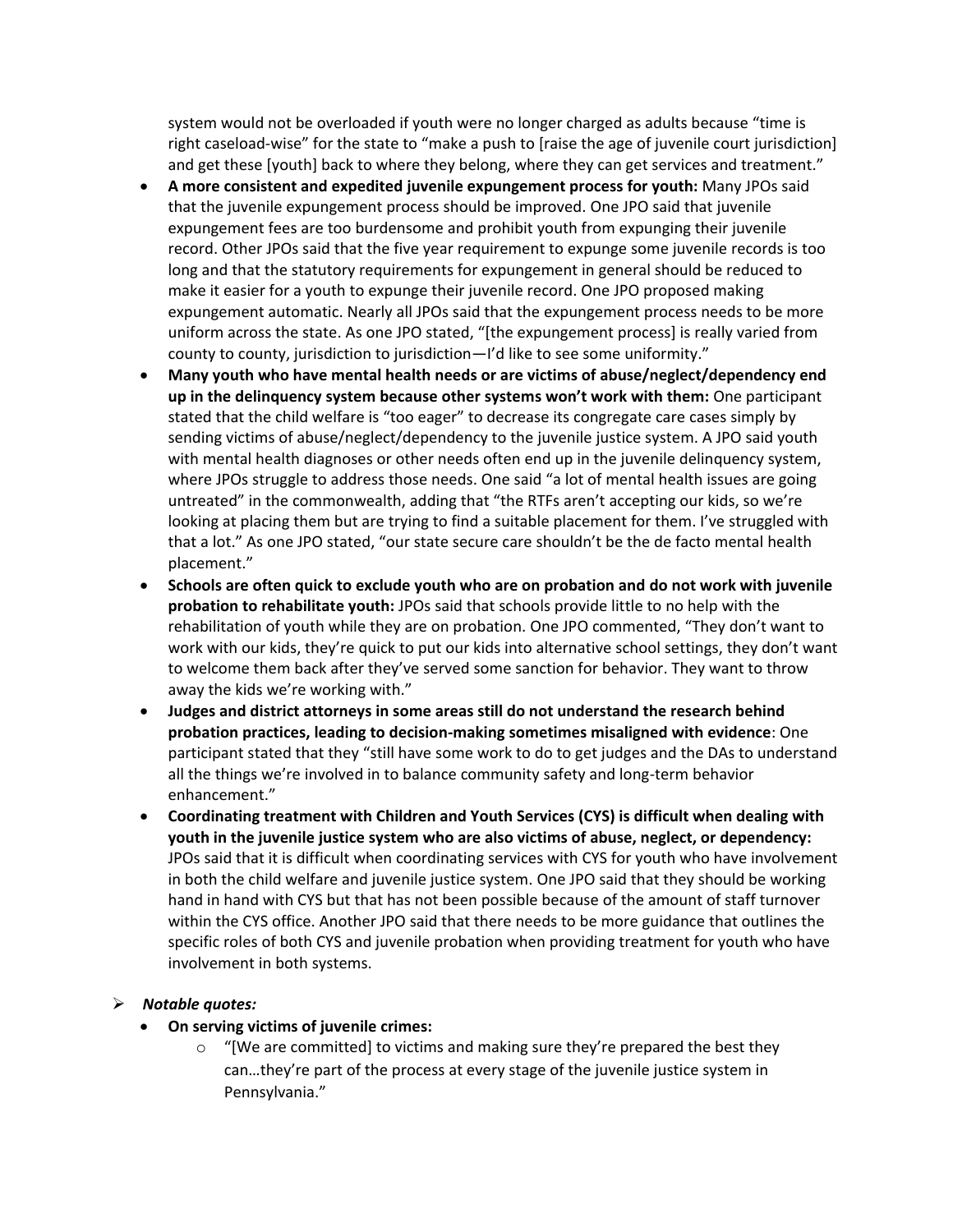system would not be overloaded if youth were no longer charged as adults because "time is right caseload-wise" for the state to "make a push to [raise the age of juvenile court jurisdiction] and get these [youth] back to where they belong, where they can get services and treatment."

- **A more consistent and expedited juvenile expungement process for youth:** Many JPOs said that the juvenile expungement process should be improved. One JPO said that juvenile expungement fees are too burdensome and prohibit youth from expunging their juvenile record. Other JPOs said that the five year requirement to expunge some juvenile records is too long and that the statutory requirements for expungement in general should be reduced to make it easier for a youth to expunge their juvenile record. One JPO proposed making expungement automatic. Nearly all JPOs said that the expungement process needs to be more uniform across the state. As one JPO stated, "[the expungement process] is really varied from county to county, jurisdiction to jurisdiction—I'd like to see some uniformity."
- **Many youth who have mental health needs or are victims of abuse/neglect/dependency end up in the delinquency system because other systems won't work with them:** One participant stated that the child welfare is "too eager" to decrease its congregate care cases simply by sending victims of abuse/neglect/dependency to the juvenile justice system. A JPO said youth with mental health diagnoses or other needs often end up in the juvenile delinquency system, where JPOs struggle to address those needs. One said "a lot of mental health issues are going untreated" in the commonwealth, adding that "the RTFs aren't accepting our kids, so we're looking at placing them but are trying to find a suitable placement for them. I've struggled with that a lot." As one JPO stated, "our state secure care shouldn't be the de facto mental health placement."
- **Schools are often quick to exclude youth who are on probation and do not work with juvenile probation to rehabilitate youth:** JPOs said that schools provide little to no help with the rehabilitation of youth while they are on probation. One JPO commented, "They don't want to work with our kids, they're quick to put our kids into alternative school settings, they don't want to welcome them back after they've served some sanction for behavior. They want to throw away the kids we're working with."
- **Judges and district attorneys in some areas still do not understand the research behind probation practices, leading to decision-making sometimes misaligned with evidence**: One participant stated that they "still have some work to do to get judges and the DAs to understand all the things we're involved in to balance community safety and long-term behavior enhancement."
- **Coordinating treatment with Children and Youth Services (CYS) is difficult when dealing with youth in the juvenile justice system who are also victims of abuse, neglect, or dependency:**  JPOs said that it is difficult when coordinating services with CYS for youth who have involvement in both the child welfare and juvenile justice system. One JPO said that they should be working hand in hand with CYS but that has not been possible because of the amount of staff turnover within the CYS office. Another JPO said that there needs to be more guidance that outlines the specific roles of both CYS and juvenile probation when providing treatment for youth who have involvement in both systems.

## *Notable quotes:*

- **On serving victims of juvenile crimes:** 
	- $\circ$  "[We are committed] to victims and making sure they're prepared the best they can…they're part of the process at every stage of the juvenile justice system in Pennsylvania."